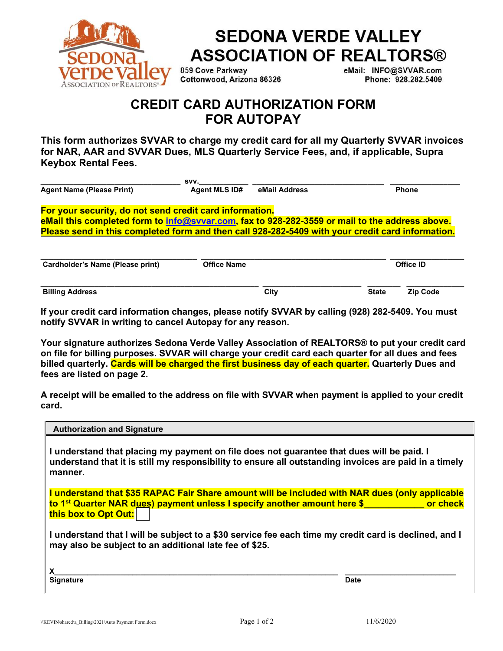

## **SEDONA VERDE VALLEY ASSOCIATION OF REALTORS®**

859 Cove Parkway Cottonwood, Arizona 86326 eMail: INFO@SVVAR.com Phone: 928.282.5409

## **CREDIT CARD AUTHORIZATION FORM FOR AUTOPAY**

**This form authorizes SVVAR to charge my credit card for all my Quarterly SVVAR invoices for NAR, AAR and SVVAR Dues, MLS Quarterly Service Fees, and, if applicable, Supra Keybox Rental Fees.** 

|                                                                                                  | SVV.                 |               |              |
|--------------------------------------------------------------------------------------------------|----------------------|---------------|--------------|
| <b>Agent Name (Please Print)</b>                                                                 | <b>Agent MLS ID#</b> | eMail Address | <b>Phone</b> |
| For your security, do not send credit card information.                                          |                      |               |              |
| eMail this completed form to info@svvar.com, fax to 928-282-3559 or mail to the address above.   |                      |               |              |
| Please send in this completed form and then call 928-282-5409 with your credit card information. |                      |               |              |
|                                                                                                  |                      |               |              |
|                                                                                                  |                      |               |              |
|                                                                                                  |                      |               |              |

| Cardholder's Name (Please print) | <b>Office Name</b> |      |              | Office ID |
|----------------------------------|--------------------|------|--------------|-----------|
|                                  |                    |      |              |           |
| <b>Billing Address</b>           |                    | City | <b>State</b> | Zip Code  |

**If your credit card information changes, please notify SVVAR by calling (928) 282-5409. You must notify SVVAR in writing to cancel Autopay for any reason.**

**Your signature authorizes Sedona Verde Valley Association of REALTORS® to put your credit card on file for billing purposes. SVVAR will charge your credit card each quarter for all dues and fees billed quarterly. Cards will be charged the first business day of each quarter. Quarterly Dues and fees are listed on page 2.** 

**A receipt will be emailed to the address on file with SVVAR when payment is applied to your credit card.** 

| <b>Authorization and Signature</b>                                                                                                                                                                             |             |  |
|----------------------------------------------------------------------------------------------------------------------------------------------------------------------------------------------------------------|-------------|--|
| I understand that placing my payment on file does not guarantee that dues will be paid. I<br>understand that it is still my responsibility to ensure all outstanding invoices are paid in a timely<br>manner.  |             |  |
| I understand that \$35 RAPAC Fair Share amount will be included with NAR dues (only applicable<br>to 1 <sup>st</sup> Quarter NAR dues) payment unless I specify another amount here \$<br>this box to Opt Out: |             |  |
| I understand that I will be subject to a \$30 service fee each time my credit card is declined, and I<br>may also be subject to an additional late fee of \$25.                                                |             |  |
| <b>Signature</b>                                                                                                                                                                                               | <b>Date</b> |  |